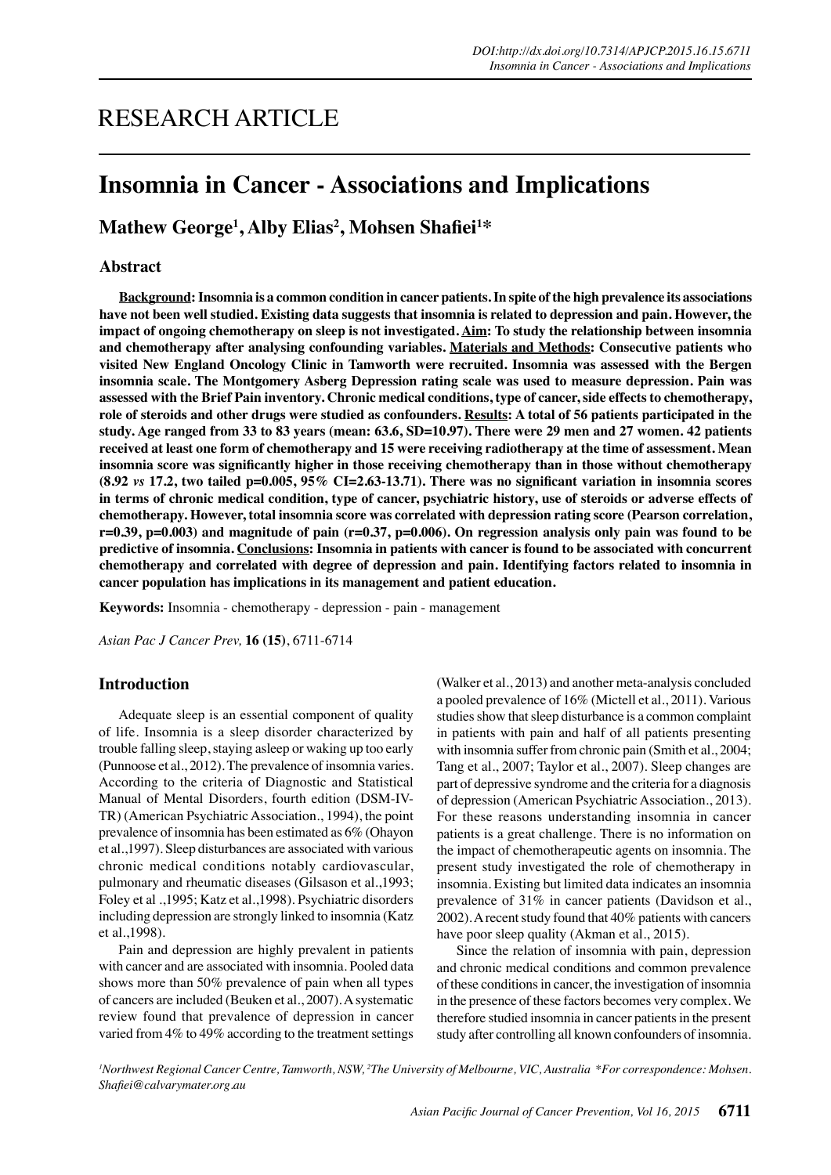# RESEARCH ARTICLE

# **Insomnia in Cancer - Associations and Implications**

 $\mathbf{Mathew} \mathbf{George^1,} \mathbf{Alby Elias^2,} \mathbf{Mohsen Shafiei^{1*}}$ 

# **Abstract**

**Background: Insomnia is a common condition in cancer patients. In spite of the high prevalence its associations have not been well studied. Existing data suggests that insomnia is related to depression and pain. However, the impact of ongoing chemotherapy on sleep is not investigated. Aim: To study the relationship between insomnia and chemotherapy after analysing confounding variables. Materials and Methods: Consecutive patients who visited New England Oncology Clinic in Tamworth were recruited. Insomnia was assessed with the Bergen insomnia scale. The Montgomery Asberg Depression rating scale was used to measure depression. Pain was assessed with the Brief Pain inventory. Chronic medical conditions, type of cancer, side effects to chemotherapy, role of steroids and other drugs were studied as confounders. Results: A total of 56 patients participated in the study. Age ranged from 33 to 83 years (mean: 63.6, SD=10.97). There were 29 men and 27 women. 42 patients received at least one form of chemotherapy and 15 were receiving radiotherapy at the time of assessment. Mean insomnia score was significantly higher in those receiving chemotherapy than in those without chemotherapy (8.92** *vs* **17.2, two tailed p=0.005, 95% CI=2.63-13.71). There was no significant variation in insomnia scores in terms of chronic medical condition, type of cancer, psychiatric history, use of steroids or adverse effects of chemotherapy. However, total insomnia score was correlated with depression rating score (Pearson correlation, r=0.39, p=0.003) and magnitude of pain (r=0.37, p=0.006). On regression analysis only pain was found to be predictive of insomnia. Conclusions: Insomnia in patients with cancer is found to be associated with concurrent chemotherapy and correlated with degree of depression and pain. Identifying factors related to insomnia in cancer population has implications in its management and patient education.**

**Keywords:** Insomnia - chemotherapy - depression - pain - management

*Asian Pac J Cancer Prev,* **16 (15)**, 6711-6714

## **Introduction**

Adequate sleep is an essential component of quality of life. Insomnia is a sleep disorder characterized by trouble falling sleep, staying asleep or waking up too early (Punnoose et al., 2012). The prevalence of insomnia varies. According to the criteria of Diagnostic and Statistical Manual of Mental Disorders, fourth edition (DSM-IV-TR) (American Psychiatric Association., 1994), the point prevalence of insomnia has been estimated as 6% (Ohayon et al.,1997). Sleep disturbances are associated with various chronic medical conditions notably cardiovascular, pulmonary and rheumatic diseases (Gilsason et al.,1993; Foley et al .,1995; Katz et al.,1998). Psychiatric disorders including depression are strongly linked to insomnia (Katz et al.,1998).

Pain and depression are highly prevalent in patients with cancer and are associated with insomnia. Pooled data shows more than 50% prevalence of pain when all types of cancers are included (Beuken et al., 2007). A systematic review found that prevalence of depression in cancer varied from 4% to 49% according to the treatment settings

(Walker et al., 2013) and another meta-analysis concluded a pooled prevalence of 16% (Mictell et al., 2011). Various studies show that sleep disturbance is a common complaint in patients with pain and half of all patients presenting with insomnia suffer from chronic pain (Smith et al., 2004; Tang et al., 2007; Taylor et al., 2007). Sleep changes are part of depressive syndrome and the criteria for a diagnosis of depression (American Psychiatric Association., 2013). For these reasons understanding insomnia in cancer patients is a great challenge. There is no information on the impact of chemotherapeutic agents on insomnia. The present study investigated the role of chemotherapy in insomnia. Existing but limited data indicates an insomnia prevalence of 31% in cancer patients (Davidson et al., 2002). A recent study found that 40% patients with cancers have poor sleep quality (Akman et al., 2015).

Since the relation of insomnia with pain, depression and chronic medical conditions and common prevalence of these conditions in cancer, the investigation of insomnia in the presence of these factors becomes very complex. We therefore studied insomnia in cancer patients in the present study after controlling all known confounders of insomnia.

*1 Northwest Regional Cancer Centre, Tamworth, NSW, 2 The University of Melbourne, VIC, Australia \*For correspondence: Mohsen. Shafiei@calvarymater.org.au*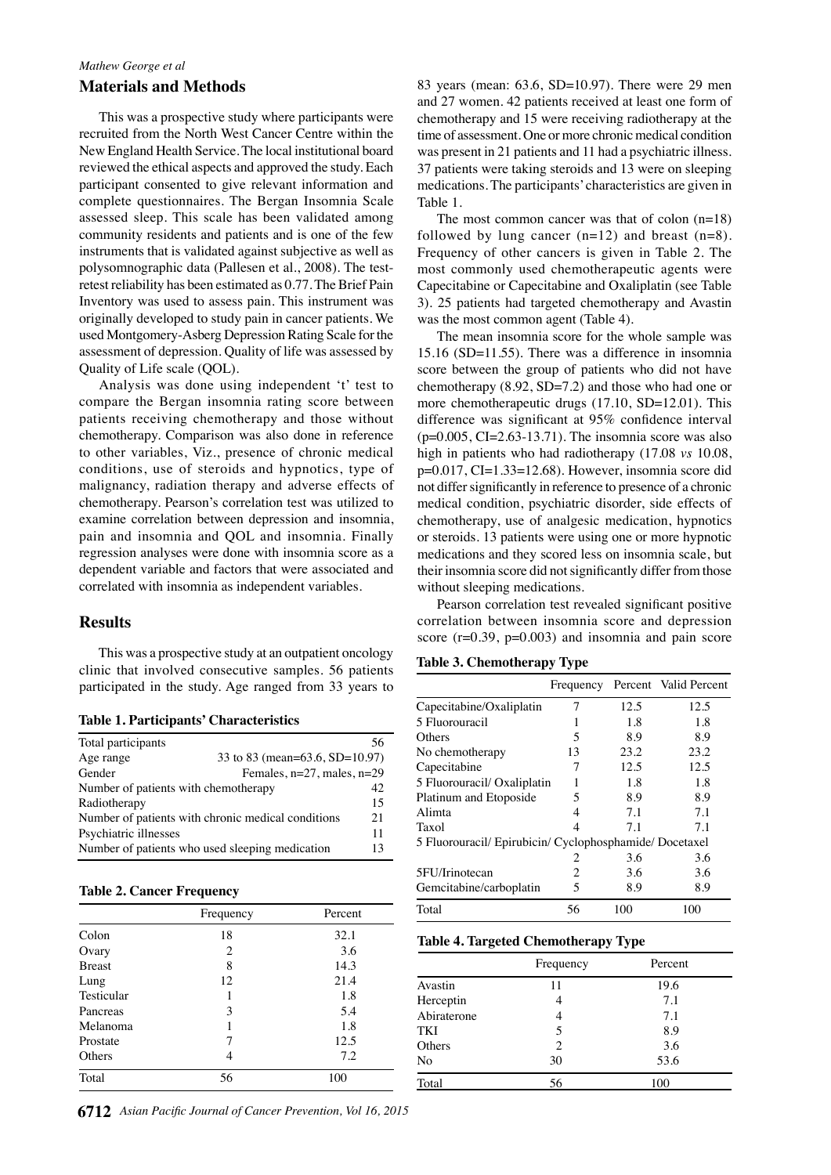## *Mathew George et al*

#### **Materials and Methods**

This was a prospective study where participants were recruited from the North West Cancer Centre within the New England Health Service. The local institutional board reviewed the ethical aspects and approved the study. Each participant consented to give relevant information and complete questionnaires. The Bergan Insomnia Scale assessed sleep. This scale has been validated among community residents and patients and is one of the few instruments that is validated against subjective as well as polysomnographic data (Pallesen et al., 2008). The testretest reliability has been estimated as 0.77. The Brief Pain Inventory was used to assess pain. This instrument was originally developed to study pain in cancer patients. We used Montgomery-Asberg Depression Rating Scale for the assessment of depression. Quality of life was assessed by Quality of Life scale (QOL).

Analysis was done using independent 't' test to compare the Bergan insomnia rating score between patients receiving chemotherapy and those without chemotherapy. Comparison was also done in reference to other variables, Viz., presence of chronic medical conditions, use of steroids and hypnotics, type of malignancy, radiation therapy and adverse effects of chemotherapy. Pearson's correlation test was utilized to examine correlation between depression and insomnia, pain and insomnia and QOL and insomnia. Finally regression analyses were done with insomnia score as a dependent variable and factors that were associated and correlated with insomnia as independent variables.

### **Results**

This was a prospective study at an outpatient oncology clinic that involved consecutive samples. 56 patients participated in the study. Age ranged from 33 years to

|  | <b>Table 1. Participants' Characteristics</b> |  |  |
|--|-----------------------------------------------|--|--|
|--|-----------------------------------------------|--|--|

| Total participants                                 |                                 | 56 |  |
|----------------------------------------------------|---------------------------------|----|--|
| Age range                                          | 33 to 83 (mean=63.6, SD=10.97)  |    |  |
| Gender                                             | Females, $n=27$ , males, $n=29$ |    |  |
| Number of patients with chemotherapy<br>42         |                                 |    |  |
| Radiotherapy                                       |                                 | 15 |  |
| Number of patients with chronic medical conditions |                                 | 21 |  |
| Psychiatric illnesses                              |                                 | 11 |  |
| Number of patients who used sleeping medication    |                                 | 13 |  |

Colon 18 32.1 Ovary 2  $3.6$ Breast 8 14.3 Lung 12 21.4 Testicular 1 1.8 Pancreas 3 5.4 Melanoma 1 1.8 Prostate 7 12.5 Others 4 7.2 Total 56 100

#### **Table 2. Cancer Frequency**

83 years (mean: 63.6, SD=10.97). There were 29 men and 27 women. 42 patients received at least one form of chemotherapy and 15 were receiving radiotherapy at the time of assessment. One or more chronic medical condition was present in 21 patients and 11 had a psychiatric illness. 37 patients were taking steroids and 13 were on sleeping medications. The participants' characteristics are given in Table 1.

The most common cancer was that of colon (n=18) followed by lung cancer  $(n=12)$  and breast  $(n=8)$ . Frequency of other cancers is given in Table 2. The most commonly used chemotherapeutic agents were Capecitabine or Capecitabine and Oxaliplatin (see Table 3). 25 patients had targeted chemotherapy and Avastin was the most common agent (Table 4).

The mean insomnia score for the whole sample was 15.16 (SD=11.55). There was a difference in insomnia score between the group of patients who did not have chemotherapy (8.92, SD=7.2) and those who had one or more chemotherapeutic drugs (17.10, SD=12.01). This difference was significant at 95% confidence interval  $(p=0.005, CI=2.63-13.71)$ . The insomnia score was also high in patients who had radiotherapy (17.08 *vs* 10.08, p=0.017, CI=1.33=12.68). However, insomnia score did not differ significantly in reference to presence of a chronic medical condition, psychiatric disorder, side effects of chemotherapy, use of analgesic medication, hypnotics or steroids. 13 patients were using one or more hypnotic medications and they scored less on insomnia scale, but their insomnia score did not significantly differ from those without sleeping medications.

Pearson correlation test revealed significant positive correlation between insomnia score and depression score  $(r=0.39, p=0.003)$  and insomnia and pain score

#### **Table 3. Chemotherapy Type**

eatment

atment

eatment

atment

currence

currence

Remission

amission

|                 |      |                              |                |                          |                                           | Frequency Percent Valid Percent                         |      |
|-----------------|------|------------------------------|----------------|--------------------------|-------------------------------------------|---------------------------------------------------------|------|
|                 |      | Capecitabine/Oxaliplatin     |                | 7                        | 12.5                                      | 12.5                                                    |      |
| 5 Fluorouracil  |      |                              |                |                          | 1.8                                       | 1.8                                                     |      |
| Others          |      |                              |                | $\overline{\phantom{0}}$ | 8.9                                       | 8.9                                                     |      |
| No chemotherapy |      |                              |                | 13                       | 23.2                                      | 23.2                                                    |      |
| Capecitabine    |      |                              |                | 7                        | 12.5                                      | 12.5                                                    |      |
|                 |      | 5 Fluorouracil/ Oxaliplatin  |                | 1                        | 1.8                                       | 1.8                                                     |      |
|                 |      | Platinum and Etoposide       |                | 5                        | 8.9                                       | 8.9                                                     |      |
| Alimta          |      |                              |                | 4                        | 7.1                                       | 7.1                                                     |      |
| Taxol           |      |                              |                |                          | 7.1                                       | 7.1                                                     |      |
|                 |      |                              |                |                          |                                           | 5 Fluorouracil/ Epirubicin/ Cyclophosphamide/ Docetaxel |      |
|                 |      |                              |                |                          | 3.6                                       | 3.6                                                     |      |
| 5FU/Irinotecan  |      |                              |                | 2                        | 3.6                                       | 3.6                                                     |      |
|                 |      | 100. Gemcitabine/carboplatin |                |                          | 8.9                                       | 8.9                                                     |      |
| Total           | 6.3  | 10.1                         |                | $56$ <sub>20.3</sub>     | 100                                       | 100                                                     |      |
|                 |      |                              |                |                          | 75.0Table 4. Targeted Chemotherapy Typs.o |                                                         |      |
|                 |      |                              |                |                          |                                           |                                                         | 30.0 |
|                 |      | <del>46.8</del>              | Frequency      |                          |                                           | Percent                                                 |      |
| Avastin         | 56.3 |                              | 11             |                          |                                           | 19.6                                                    |      |
| 50.0Herceptin   |      |                              | $\overline{4}$ | 54.2                     | 31.3                                      | 7.1                                                     |      |
| Abiraterone     |      |                              | $\overline{4}$ |                          |                                           | 7.1                                                     | 30.0 |
| TKI             |      |                              | 5              |                          |                                           | 8.9                                                     |      |
| Others          |      |                              | $\mathfrak{D}$ |                          |                                           | B.6                                                     |      |
| 25.0 No         |      |                              | 30             |                          |                                           | 53.6                                                    |      |
| Total           | 31.3 | 38.0                         | 56             |                          | 31.300                                    |                                                         | 30.0 |
|                 |      |                              |                | 23.7                     |                                           |                                                         |      |
|                 |      |                              |                |                          |                                           |                                                         |      |

**12.8 51.1** otherapy otherapy

None



Frequency Percent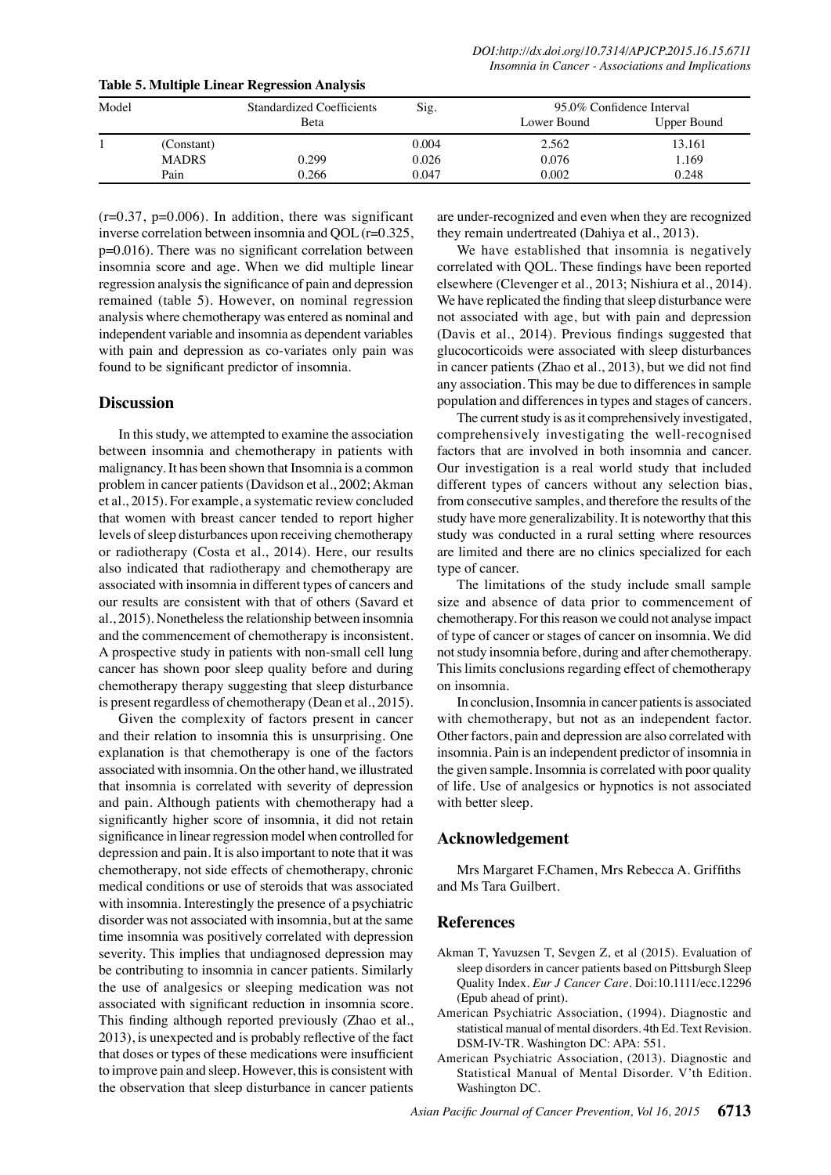| Model |              | <b>Standardized Coefficients</b> | Sig.  | 95.0% Confidence Interval |             |  |
|-------|--------------|----------------------------------|-------|---------------------------|-------------|--|
|       |              | <b>B</b> eta                     |       | Lower Bound               | Upper Bound |  |
|       | (Constant)   |                                  | 0.004 | 2.562                     | 13.161      |  |
|       | <b>MADRS</b> | 0.299                            | 0.026 | 0.076                     | 1.169       |  |
|       | Pain         | 0.266                            | 0.047 | 0.002                     | 0.248       |  |

**Table 5. Multiple Linear Regression Analysis**

 $(r=0.37, p=0.006)$ . In addition, there was significant inverse correlation between insomnia and QOL (r=0.325, p=0.016). There was no significant correlation between insomnia score and age. When we did multiple linear regression analysis the significance of pain and depression remained (table 5). However, on nominal regression analysis where chemotherapy was entered as nominal and independent variable and insomnia as dependent variables with pain and depression as co-variates only pain was found to be significant predictor of insomnia.

## **Discussion**

In this study, we attempted to examine the association between insomnia and chemotherapy in patients with malignancy. It has been shown that Insomnia is a common problem in cancer patients (Davidson et al., 2002; Akman et al., 2015). For example, a systematic review concluded that women with breast cancer tended to report higher levels of sleep disturbances upon receiving chemotherapy or radiotherapy (Costa et al., 2014). Here, our results also indicated that radiotherapy and chemotherapy are associated with insomnia in different types of cancers and our results are consistent with that of others (Savard et al., 2015). Nonetheless the relationship between insomnia and the commencement of chemotherapy is inconsistent. A prospective study in patients with non-small cell lung cancer has shown poor sleep quality before and during chemotherapy therapy suggesting that sleep disturbance is present regardless of chemotherapy (Dean et al., 2015).

Given the complexity of factors present in cancer and their relation to insomnia this is unsurprising. One explanation is that chemotherapy is one of the factors associated with insomnia. On the other hand, we illustrated that insomnia is correlated with severity of depression and pain. Although patients with chemotherapy had a significantly higher score of insomnia, it did not retain significance in linear regression model when controlled for depression and pain. It is also important to note that it was chemotherapy, not side effects of chemotherapy, chronic medical conditions or use of steroids that was associated with insomnia. Interestingly the presence of a psychiatric disorder was not associated with insomnia, but at the same time insomnia was positively correlated with depression severity. This implies that undiagnosed depression may be contributing to insomnia in cancer patients. Similarly the use of analgesics or sleeping medication was not associated with significant reduction in insomnia score. This finding although reported previously (Zhao et al., 2013), is unexpected and is probably reflective of the fact that doses or types of these medications were insufficient to improve pain and sleep. However, this is consistent with the observation that sleep disturbance in cancer patients

are under-recognized and even when they are recognized they remain undertreated (Dahiya et al., 2013).

We have established that insomnia is negatively correlated with QOL. These findings have been reported elsewhere (Clevenger et al., 2013; Nishiura et al., 2014). We have replicated the finding that sleep disturbance were not associated with age, but with pain and depression (Davis et al., 2014). Previous findings suggested that glucocorticoids were associated with sleep disturbances in cancer patients (Zhao et al., 2013), but we did not find any association. This may be due to differences in sample population and differences in types and stages of cancers.

The current study is as it comprehensively investigated, comprehensively investigating the well-recognised factors that are involved in both insomnia and cancer. Our investigation is a real world study that included different types of cancers without any selection bias, from consecutive samples, and therefore the results of the study have more generalizability. It is noteworthy that this study was conducted in a rural setting where resources are limited and there are no clinics specialized for each type of cancer.

The limitations of the study include small sample size and absence of data prior to commencement of chemotherapy. For this reason we could not analyse impact of type of cancer or stages of cancer on insomnia. We did not study insomnia before, during and after chemotherapy. This limits conclusions regarding effect of chemotherapy on insomnia.

In conclusion, Insomnia in cancer patients is associated with chemotherapy, but not as an independent factor. Other factors, pain and depression are also correlated with insomnia. Pain is an independent predictor of insomnia in the given sample. Insomnia is correlated with poor quality of life. Use of analgesics or hypnotics is not associated with better sleep.

# **Acknowledgement**

Mrs Margaret F.Chamen, Mrs Rebecca A. Griffiths and Ms Tara Guilbert.

# **References**

- Akman T, Yavuzsen T, Sevgen Z, et al (2015). Evaluation of sleep disorders in cancer patients based on Pittsburgh Sleep Quality Index. *Eur J Cancer Care*. Doi:10.1111/ecc.12296 (Epub ahead of print).
- American Psychiatric Association, (1994). Diagnostic and statistical manual of mental disorders. 4th Ed. Text Revision. DSM-IV-TR. Washington DC: APA: 551.
- American Psychiatric Association, (2013). Diagnostic and Statistical Manual of Mental Disorder. V'th Edition. Washington DC.